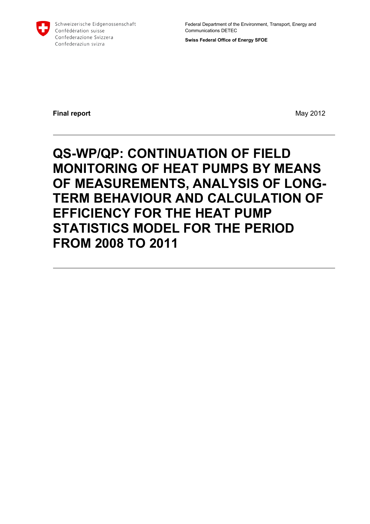

Schweizerische Eidgenossenschaft Confédération suisse Confederazione Svizzera Confederaziun svizra

Federal Department of the Environment, Transport, Energy and Communications DETEC

**Swiss Federal Office of Energy SFOE** 

**Final report** May 2012

# **QS-WP/QP: CONTINUATION OF FIELD MONITORING OF HEAT PUMPS BY MEANS OF MEASUREMENTS, ANALYSIS OF LONG-TERM BEHAVIOUR AND CALCULATION OF EFFICIENCY FOR THE HEAT PUMP STATISTICS MODEL FOR THE PERIOD FROM 2008 TO 2011**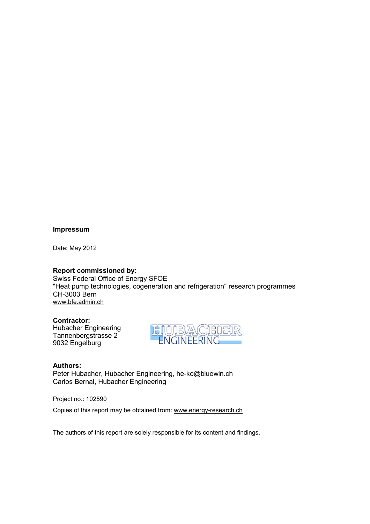#### **Impressum**

Date: May 2012

#### **Report commissioned by:**

Swiss Federal Office of Energy SFOE "Heat pump technologies, cogeneration and refrigeration" research programmes CH-3003 Bern www.bfe.admin.ch

## **Contractor:**

Hubacher Engineering Tannenbergstrasse 2 9032 Engelburg



### **Authors:**

Peter Hubacher, Hubacher Engineering, he-ko@bluewin.ch Carlos Bernal, Hubacher Engineering

Project no.: 102590

Copies of this report may be obtained from: www.energy-research.ch

The authors of this report are solely responsible for its content and findings.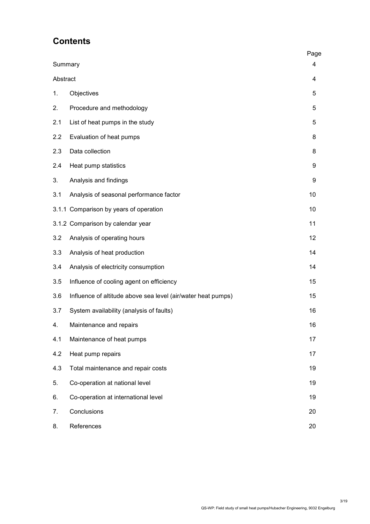## **Contents**

|          |                                                              | Page |
|----------|--------------------------------------------------------------|------|
| Summary  |                                                              | 4    |
| Abstract |                                                              | 4    |
| 1.       | Objectives                                                   | 5    |
| 2.       | Procedure and methodology                                    | 5    |
| 2.1      | List of heat pumps in the study                              | 5    |
| 2.2      | Evaluation of heat pumps                                     | 8    |
| 2.3      | Data collection                                              | 8    |
| 2.4      | Heat pump statistics                                         | 9    |
| 3.       | Analysis and findings                                        | 9    |
| 3.1      | Analysis of seasonal performance factor                      | 10   |
|          | 3.1.1 Comparison by years of operation                       | 10   |
|          | 3.1.2 Comparison by calendar year                            | 11   |
| 3.2      | Analysis of operating hours                                  | 12   |
| 3.3      | Analysis of heat production                                  | 14   |
| 3.4      | Analysis of electricity consumption                          | 14   |
| 3.5      | Influence of cooling agent on efficiency                     | 15   |
| 3.6      | Influence of altitude above sea level (air/water heat pumps) | 15   |
| 3.7      | System availability (analysis of faults)                     | 16   |
| 4.       | Maintenance and repairs                                      | 16   |
| 4.1      | Maintenance of heat pumps                                    | 17   |
| 4.2      | Heat pump repairs                                            | 17   |
| 4.3      | Total maintenance and repair costs                           | 19   |
| 5.       | Co-operation at national level                               | 19   |
| 6.       | Co-operation at international level                          | 19   |
| 7.       | Conclusions                                                  | 20   |
| 8.       | References                                                   | 20   |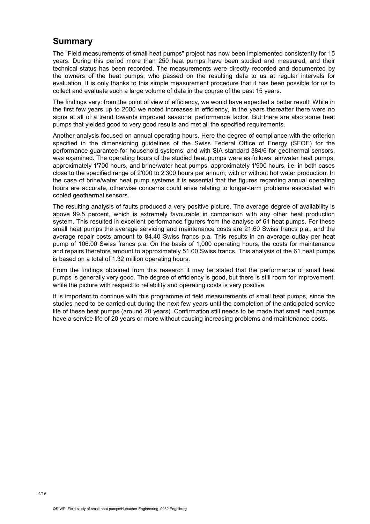## **Summary**

The "Field measurements of small heat pumps" project has now been implemented consistently for 15 years. During this period more than 250 heat pumps have been studied and measured, and their technical status has been recorded. The measurements were directly recorded and documented by the owners of the heat pumps, who passed on the resulting data to us at regular intervals for evaluation. It is only thanks to this simple measurement procedure that it has been possible for us to collect and evaluate such a large volume of data in the course of the past 15 years.

The findings vary: from the point of view of efficiency, we would have expected a better result. While in the first few years up to 2000 we noted increases in efficiency, in the years thereafter there were no signs at all of a trend towards improved seasonal performance factor. But there are also some heat pumps that yielded good to very good results and met all the specified requirements.

Another analysis focused on annual operating hours. Here the degree of compliance with the criterion specified in the dimensioning guidelines of the Swiss Federal Office of Energy (SFOE) for the performance guarantee for household systems, and with SIA standard 384/6 for geothermal sensors, was examined. The operating hours of the studied heat pumps were as follows: air/water heat pumps, approximately 1'700 hours, and brine/water heat pumps, approximately 1'900 hours, i.e. in both cases close to the specified range of 2'000 to 2'300 hours per annum, with or without hot water production. In the case of brine/water heat pump systems it is essential that the figures regarding annual operating hours are accurate, otherwise concerns could arise relating to longer-term problems associated with cooled geothermal sensors.

The resulting analysis of faults produced a very positive picture. The average degree of availability is above 99.5 percent, which is extremely favourable in comparison with any other heat production system. This resulted in excellent performance figurers from the analyse of 61 heat pumps. For these small heat pumps the average servicing and maintenance costs are 21.60 Swiss francs p.a., and the average repair costs amount to 84.40 Swiss francs p.a. This results in an average outlay per heat pump of 106.00 Swiss francs p.a. On the basis of 1,000 operating hours, the costs for maintenance and repairs therefore amount to approximately 51.00 Swiss francs. This analysis of the 61 heat pumps is based on a total of 1.32 million operating hours.

From the findings obtained from this research it may be stated that the performance of small heat pumps is generally very good. The degree of efficiency is good, but there is still room for improvement, while the picture with respect to reliability and operating costs is very positive.

It is important to continue with this programme of field measurements of small heat pumps, since the studies need to be carried out during the next few years until the completion of the anticipated service life of these heat pumps (around 20 years). Confirmation still needs to be made that small heat pumps have a service life of 20 years or more without causing increasing problems and maintenance costs.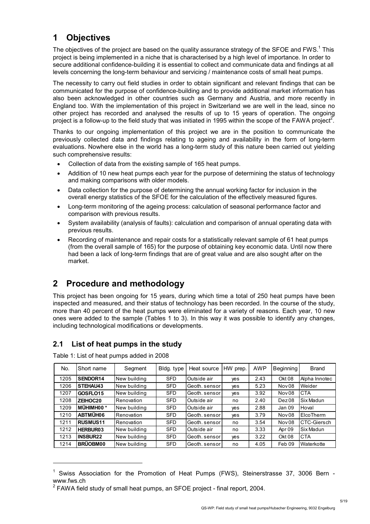## **1 Objectives**

The objectives of the project are based on the quality assurance strategy of the SFOE and FWS.<sup>1</sup> This project is being implemented in a niche that is characterised by a high level of importance. In order to secure additional confidence-building it is essential to collect and communicate data and findings at all levels concerning the long-term behaviour and servicing / maintenance costs of small heat pumps.

The necessity to carry out field studies in order to obtain significant and relevant findings that can be communicated for the purpose of confidence-building and to provide additional market information has also been acknowledged in other countries such as Germany and Austria, and more recently in England too. With the implementation of this project in Switzerland we are well in the lead, since no other project has recorded and analysed the results of up to 15 years of operation. The ongoing project is a follow-up to the field study that was initiated in 1995 within the scope of the FAWA project<sup>2</sup>.

Thanks to our ongoing implementation of this project we are in the position to communicate the previously collected data and findings relating to ageing and availability in the form of long-term evaluations. Nowhere else in the world has a long-term study of this nature been carried out yielding such comprehensive results:

- Collection of data from the existing sample of 165 heat pumps.
- Addition of 10 new heat pumps each year for the purpose of determining the status of technology and making comparisons with older models.
- Data collection for the purpose of determining the annual working factor for inclusion in the overall energy statistics of the SFOE for the calculation of the effectively measured figures.
- Long-term monitoring of the ageing process: calculation of seasonal performance factor and comparison with previous results.
- System availability (analysis of faults): calculation and comparison of annual operating data with previous results.
- Recording of maintenance and repair costs for a statistically relevant sample of 61 heat pumps (from the overall sample of 165) for the purpose of obtaining key economic data. Until now there had been a lack of long-term findings that are of great value and are also sought after on the market.

## **2 Procedure and methodology**

This project has been ongoing for 15 years, during which time a total of 250 heat pumps have been inspected and measured, and their status of technology has been recorded. In the course of the study, more than 40 percent of the heat pumps were eliminated for a variety of reasons. Each year, 10 new ones were added to the sample (Tables 1 to 3). In this way it was possible to identify any changes, including technological modifications or developments.

### **2.1 List of heat pumps in the study**

| No.  | Short name           | Segment      | Bldg. type | Heat source   | HW prep.   | AWP  | <b>Beginning</b>  | <b>Brand</b>     |
|------|----------------------|--------------|------------|---------------|------------|------|-------------------|------------------|
| 1205 | SENDOR14             | New building | <b>SFD</b> | Outside air   | <b>ves</b> | 2.43 | Okt 08            | Alpha Innotec    |
| 1206 | STEHAU43             | New building | <b>SFD</b> | Geoth, sensor | <b>ves</b> | 5.23 | Nov <sub>08</sub> | Weider           |
| 1207 | GOSFLO15             | New building | <b>SFD</b> | Geoth, sensor | <b>ves</b> | 3.92 | Nov <sub>08</sub> | <b>CTA</b>       |
| 1208 | ZEIHOC20             | Renovation   | <b>SFD</b> | Outside air   | no         | 2.40 | Dez08             | Six Madun        |
| 1209 | MÜHIMH00 *           | New building | <b>SFD</b> | Outside air   | ves        | 2.88 | Jan 09            | Hoval            |
| 1210 | ABTMÜH06             | Renovation   | <b>SFD</b> | Geoth, sensor | ves        | 3.79 | Nov <sub>08</sub> | <b>ElcoTherm</b> |
| 1211 | RUSMUS <sub>11</sub> | Renovation   | <b>SFD</b> | Geoth, sensor | no         | 3.54 | Nov <sub>08</sub> | CTC-Giersch      |
| 1212 | HERBUR03             | New building | <b>SFD</b> | Outside air   | no         | 3.33 | Apr 09            | Six Madun        |
| 1213 | <b>INSBUR22</b>      | New building | <b>SFD</b> | Geoth, sensor | <b>ves</b> | 3.22 | Okt 08            | <b>CTA</b>       |
| 1214 | <b>BRÜOBM00</b>      | New building | <b>SFD</b> | Geoth, sensor | no         | 4.05 | Feb 09            | Waterkotte       |

Table 1: List of heat pumps added in 2008

-

<sup>1</sup> Swiss Association for the Promotion of Heat Pumps (FWS), Steinerstrasse 37, 3006 Bern www.fws.ch

 $2$  FAWA field study of small heat pumps, an SFOE project - final report, 2004.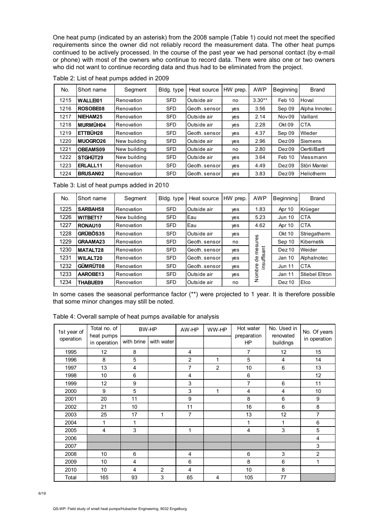One heat pump (indicated by an asterisk) from the 2008 sample (Table 1) could not meet the specified requirements since the owner did not reliably record the measurement data. The other heat pumps continued to be actively processed. In the course of the past year we had personal contact (by e-mail or phone) with most of the owners who continue to record data. There were also one or two owners who did not want to continue recording data and thus had to be eliminated from the project.

| No.  | Short name      | Segment      | Bldg. type | Heat source   | HW prep. | <b>AWP</b> | <b>Beginning</b>  | <b>Brand</b>      |
|------|-----------------|--------------|------------|---------------|----------|------------|-------------------|-------------------|
| 1215 | <b>WALLEI01</b> | Renovation   | <b>SFD</b> | Outside air   | no       | $3.30**$   | Feb 10            | Hoval             |
| 1216 | ROSOBE08        | Renovation   | <b>SFD</b> | Geoth, sensor | yes      | 3.56       | Sep 09            | Alpha Innotec     |
| 1217 | NIEHAM25        | Renovation   | <b>SFD</b> | Outside air   | ves      | 2.14       | Nov <sub>09</sub> | Vaillant          |
| 1218 | MURMÜH04        | Renovation   | <b>SFD</b> | Outside air   | yes      | 2.28       | Okt 09            | <b>CTA</b>        |
| 1219 | ETTBÜH28        | Renovation   | <b>SFD</b> | Geoth, sensor | yes      | 4.37       | Sep 09            | Wieder            |
| 1220 | MUOGRO26        | New building | <b>SFD</b> | Outside air   | ves      | 2.96       | Dez09             | Siemens           |
| 1221 | OBEAMS09        | New building | <b>SFD</b> | Outside air   | no       | 2.80       | Dez09             | Oertli/Bartl      |
| 1222 | STGHÜT29        | New building | <b>SFD</b> | Outside air   | ves      | 3.64       | Feb 10            | Viessmann         |
| 1223 | ERLALL11        | Renovation   | <b>SFD</b> | Geoth, sensor | yes      | 4.49       | Dez <sub>09</sub> | Störi Mantel      |
| 1224 | <b>BRUSAN02</b> | Renovation   | <b>SFD</b> | Geoth, sensor | ves      | 3.83       | Dez <sub>09</sub> | <b>Heliotherm</b> |

Table 2: List of heat pumps added in 2009

Table 3: List of heat pumps added in 2010

| No.  | Short name      | Segment      | Bldg. type | Heat source   | HW prep. | <b>AWP</b>           | <b>Beginning</b>  | <b>Brand</b>   |
|------|-----------------|--------------|------------|---------------|----------|----------------------|-------------------|----------------|
| 1225 | SARBAH58        | Renovation   | <b>SFD</b> | Outside air   | ves      | 1.83                 | Apr 10            | Krüeger        |
| 1226 | <b>WITBET17</b> | New building | <b>SFD</b> | Eau           | yes      | 5.23                 | <b>Jun 10</b>     | <b>CTA</b>     |
| 1227 | RONAU10         | Renovation   | <b>SFD</b> | Eau           | yes      | 4.62                 | Apr 10            | <b>CTA</b>     |
| 1228 | GRÜBÖS35        | Renovation   | <b>SFD</b> | Outside air   | yes      |                      | <b>Okt 10</b>     | Striegatherm   |
| 1229 | <b>GRAAMA23</b> | Renovation   | <b>SFD</b> | Geoth, sensor | no       | sures                | Sep 10            | Kibernetik     |
| 1230 | MATALT28        | Renovation   | <b>SFD</b> | Geoth, sensor | yes      | ant<br>Ë             | Dez <sub>10</sub> | Weider         |
| 1231 | <b>WILALT20</b> | Renovation   | <b>SFD</b> | Geoth, sensor | yes      | <b>SC</b><br>€<br>မီ | Jan 10            | Alphalnotec    |
| 1232 | GÜMRÜT08        | Renovation   | <b>SFD</b> | Geoth, sensor | yes      | ëu                   | <b>Jun 11</b>     | <b>CTA</b>     |
| 1233 | AAROBE13        | Renovation   | <b>SFD</b> | Outside air   | yes      | Nombre               | Jan 11            | Stiebel Eltron |
| 1234 | <b>THABUE09</b> | Renovation   | <b>SFD</b> | Outside air   | no       |                      | Dez <sub>10</sub> | Elco           |

In some cases the seasonal performance factor (\*\*) were projected to 1 year. It is therefore possible that some minor changes may still be noted.

| 1st year of | Total no. of<br>heat pumps |            | BW-HP          | AW-HP          | WW-HP          | Hot water<br>preparation | No. Used in<br>renovated | No. Of years   |
|-------------|----------------------------|------------|----------------|----------------|----------------|--------------------------|--------------------------|----------------|
| operation   | in operation               | with brine | with water     |                |                | <b>HP</b>                | buildings                | in operation   |
| 1995        | 12                         | 8          |                | 4              |                | 7                        | 12                       | 15             |
| 1996        | 8                          | 5          |                | $\overline{2}$ | 1              | 5                        | 4                        | 14             |
| 1997        | 13                         | 4          |                | 7              | $\overline{2}$ | 10                       | 6                        | 13             |
| 1998        | 10                         | 6          |                | 4              |                | 6                        |                          | 12             |
| 1999        | 12                         | 9          |                | 3              |                | $\overline{7}$           | 6                        | 11             |
| 2000        | 9                          | 5          |                | 3              | 1              | $\overline{4}$           | 4                        | 10             |
| 2001        | 20                         | 11         |                | 9              |                | 8                        | 6                        | 9              |
| 2002        | 21                         | 10         |                | 11             |                | 16                       | 6                        | 8              |
| 2003        | 25                         | 17         | 1              | $\overline{7}$ |                | 13                       | 12                       | 7              |
| 2004        | 1                          | 1          |                |                |                | 1                        | 1                        | 6              |
| 2005        | 4                          | 3          |                | 1              |                | $\overline{4}$           | 3                        | 5              |
| 2006        |                            |            |                |                |                |                          |                          | 4              |
| 2007        |                            |            |                |                |                |                          |                          | 3              |
| 2008        | 10                         | 6          |                | 4              |                | 6                        | 3                        | $\overline{2}$ |
| 2009        | 10                         | 4          |                | 6              |                | 8                        | 6                        | 1              |
| 2010        | 10                         | 4          | $\overline{2}$ | 4              |                | 10                       | 8                        |                |
| Total       | 165                        | 93         | 3              | 65             | 4              | 105                      | 77                       |                |

Table 4: Overall sample of heat pumps available for analysis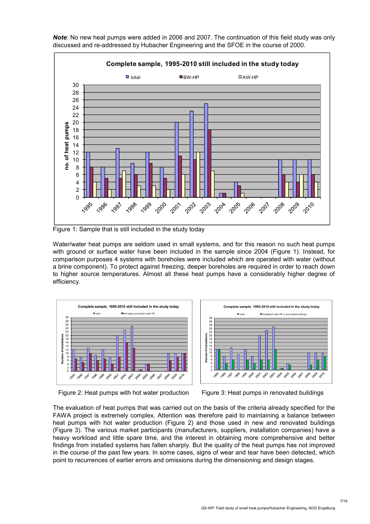

*Note*: No new heat pumps were added in 2006 and 2007. The continuation of this field study was only discussed and re-addressed by Hubacher Engineering and the SFOE in the course of 2000.

Figure 1: Sample that is still included in the study today

Water/water heat pumps are seldom used in small systems, and for this reason no such heat pumps with ground or surface water have been included in the sample since 2004 (Figure 1). Instead, for comparison purposes 4 systems with boreholes were included which are operated with water (without a brine component). To protect against freezing, deeper boreholes are required in order to reach down to higher source temperatures. Almost all these heat pumps have a considerably higher degree of efficiency.







The evaluation of heat pumps that was carried out on the basis of the criteria already specified for the FAWA project is extremely complex. Attention was therefore paid to maintaining a balance between heat pumps with hot water production (Figure 2) and those used in new and renovated buildings (Figure 3). The various market participants (manufacturers, suppliers, installation companies) have a heavy workload and little spare time, and the interest in obtaining more comprehensive and better findings from installed systems has fallen sharply. But the quality of the heat pumps has not improved in the course of the past few years. In some cases, signs of wear and tear have been detected, which point to recurrences of earlier errors and omissions during the dimensioning and design stages.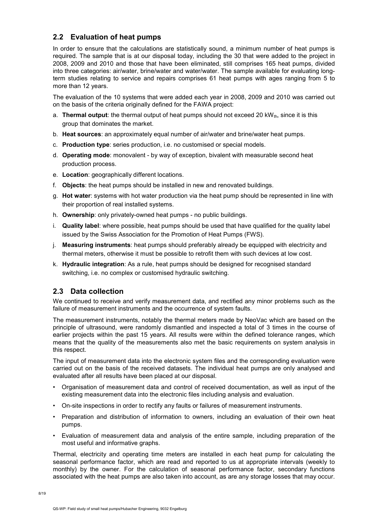### **2.2 Evaluation of heat pumps**

In order to ensure that the calculations are statistically sound, a minimum number of heat pumps is required. The sample that is at our disposal today, including the 30 that were added to the project in 2008, 2009 and 2010 and those that have been eliminated, still comprises 165 heat pumps, divided into three categories: air/water, brine/water and water/water. The sample available for evaluating longterm studies relating to service and repairs comprises 61 heat pumps with ages ranging from 5 to more than 12 years.

The evaluation of the 10 systems that were added each year in 2008, 2009 and 2010 was carried out on the basis of the criteria originally defined for the FAWA project:

- a. **Thermal output**: the thermal output of heat pumps should not exceed 20 kW<sub>th</sub>, since it is this group that dominates the market.
- b. **Heat sources**: an approximately equal number of air/water and brine/water heat pumps.
- c. **Production type**: series production, i.e. no customised or special models.
- d. **Operating mode**: monovalent by way of exception, bivalent with measurable second heat production process.
- e. **Location**: geographically different locations.
- f. **Objects**: the heat pumps should be installed in new and renovated buildings.
- g. **Hot water**: systems with hot water production via the heat pump should be represented in line with their proportion of real installed systems.
- h. **Ownership**: only privately-owned heat pumps no public buildings.
- i. **Quality label**: where possible, heat pumps should be used that have qualified for the quality label issued by the Swiss Association for the Promotion of Heat Pumps (FWS).
- j. **Measuring instruments**: heat pumps should preferably already be equipped with electricity and thermal meters, otherwise it must be possible to retrofit them with such devices at low cost.
- k. **Hydraulic integration**: As a rule, heat pumps should be designed for recognised standard switching, i.e. no complex or customised hydraulic switching.

#### **2.3 Data collection**

We continued to receive and verify measurement data, and rectified any minor problems such as the failure of measurement instruments and the occurrence of system faults.

The measurement instruments, notably the thermal meters made by NeoVac which are based on the principle of ultrasound, were randomly dismantled and inspected a total of 3 times in the course of earlier projects within the past 15 years. All results were within the defined tolerance ranges, which means that the quality of the measurements also met the basic requirements on system analysis in this respect.

The input of measurement data into the electronic system files and the corresponding evaluation were carried out on the basis of the received datasets. The individual heat pumps are only analysed and evaluated after all results have been placed at our disposal.

- Organisation of measurement data and control of received documentation, as well as input of the existing measurement data into the electronic files including analysis and evaluation.
- On-site inspections in order to rectify any faults or failures of measurement instruments.
- Preparation and distribution of information to owners, including an evaluation of their own heat pumps.
- Evaluation of measurement data and analysis of the entire sample, including preparation of the most useful and informative graphs.

Thermal, electricity and operating time meters are installed in each heat pump for calculating the seasonal performance factor, which are read and reported to us at appropriate intervals (weekly to monthly) by the owner. For the calculation of seasonal performance factor, secondary functions associated with the heat pumps are also taken into account, as are any storage losses that may occur.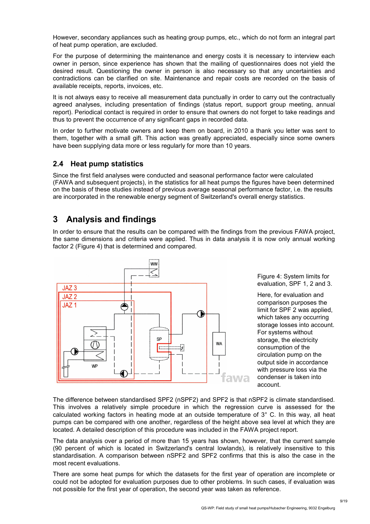However, secondary appliances such as heating group pumps, etc., which do not form an integral part of heat pump operation, are excluded.

For the purpose of determining the maintenance and energy costs it is necessary to interview each owner in person, since experience has shown that the mailing of questionnaires does not yield the desired result. Questioning the owner in person is also necessary so that any uncertainties and contradictions can be clarified on site. Maintenance and repair costs are recorded on the basis of available receipts, reports, invoices, etc.

It is not always easy to receive all measurement data punctually in order to carry out the contractually agreed analyses, including presentation of findings (status report, support group meeting, annual report). Periodical contact is required in order to ensure that owners do not forget to take readings and thus to prevent the occurrence of any significant gaps in recorded data.

In order to further motivate owners and keep them on board, in 2010 a thank you letter was sent to them, together with a small gift. This action was greatly appreciated, especially since some owners have been supplying data more or less regularly for more than 10 years.

#### **2.4 Heat pump statistics**

Since the first field analyses were conducted and seasonal performance factor were calculated (FAWA and subsequent projects), in the statistics for all heat pumps the figures have been determined on the basis of these studies instead of previous average seasonal performance factor, i.e. the results are incorporated in the renewable energy segment of Switzerland's overall energy statistics.

## **3 Analysis and findings**

In order to ensure that the results can be compared with the findings from the previous FAWA project, the same dimensions and criteria were applied. Thus in data analysis it is now only annual working factor 2 (Figure 4) that is determined and compared.



Figure 4: System limits for evaluation, SPF 1, 2 and 3.

Here, for evaluation and comparison purposes the limit for SPF 2 was applied, which takes any occurring storage losses into account. For systems without storage, the electricity consumption of the circulation pump on the output side in accordance with pressure loss via the condenser is taken into account.

The difference between standardised SPF2 (nSPF2) and SPF2 is that nSPF2 is climate standardised. This involves a relatively simple procedure in which the regression curve is assessed for the calculated working factors in heating mode at an outside temperature of 3° C. In this way, all heat pumps can be compared with one another, regardless of the height above sea level at which they are located. A detailed description of this procedure was included in the FAWA project report.

The data analysis over a period of more than 15 years has shown, however, that the current sample (90 percent of which is located in Switzerland's central lowlands), is relatively insensitive to this standardisation. A comparison between nSPF2 and SPF2 confirms that this is also the case in the most recent evaluations.

There are some heat pumps for which the datasets for the first year of operation are incomplete or could not be adopted for evaluation purposes due to other problems. In such cases, if evaluation was not possible for the first year of operation, the second year was taken as reference.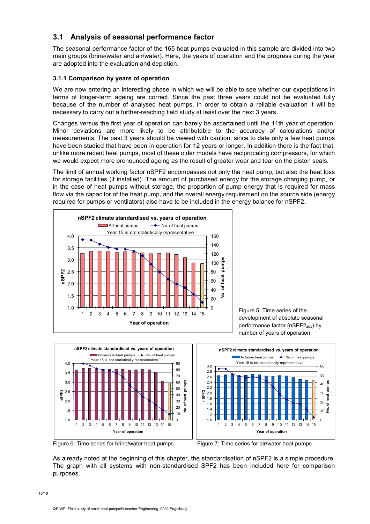### **3.1 Analysis of seasonal performance factor**

The seasonal performance factor of the 165 heat pumps evaluated in this sample are divided into two main groups (brine/water and air/water). Here, the years of operation and the progress during the year are adopted into the evaluation and depiction.

#### **3.1.1 Comparison by years of operation**

We are now entering an interesting phase in which we will be able to see whether our expectations in terms of longer-term ageing are correct. Since the past three years could not be evaluated fully because of the number of analysed heat pumps, in order to obtain a reliable evaluation it will be necessary to carry out a further-reaching field study at least over the next 3 years.

Changes versus the first year of operation can barely be ascertained until the 11th year of operation. Minor deviations are more likely to be attributable to the accuracy of calculations and/or measurements. The past 3 years should be viewed with caution, since to date only a few heat pumps have been studied that have been in operation for 12 years or longer. In addition there is the fact that, unlike more recent heat pumps, most of these older models have reciprocating compressors, for which we would expect more pronounced ageing as the result of greater wear and tear on the piston seals.

The limit of annual working factor nSPF2 encompasses not only the heat pump, but also the heat loss for storage facilities (if installed). The amount of purchased energy for the storage charging pump, or in the case of heat pumps without storage, the proportion of pump energy that is required for mass flow via the capacitor of the heat pump, and the overall energy requirement on the source side (energy required for pumps or ventilators) also have to be included in the energy balance for nSPF2.



Figure 5: Time series of the development of absolute seasonal performance factor (nSPF2<sub>abs</sub>) by number of years of operation



Figure 6: Time series for brine/water heat pumps Figure 7: Time series for air/water heat pumps



As already noted at the beginning of this chapter, the standardisation of nSPF2 is a simple procedure. The graph with all systems with non-standardised SPF2 has been included here for comparison purposes.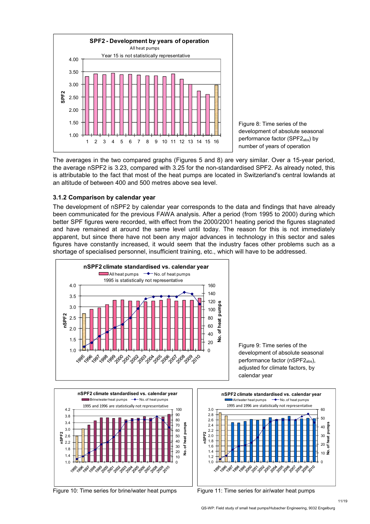

Figure 8: Time series of the development of absolute seasonal performance factor (SPF2<sub>abs</sub>) by number of years of operation

The averages in the two compared graphs (Figures 5 and 8) are very similar. Over a 15-year period, the average nSPF2 is 3.23, compared with 3.25 for the non-standardised SPF2. As already noted, this is attributable to the fact that most of the heat pumps are located in Switzerland's central lowlands at an altitude of between 400 and 500 metres above sea level.

#### **3.1.2 Comparison by calendar year**

The development of nSPF2 by calendar year corresponds to the data and findings that have already been communicated for the previous FAWA analysis. After a period (from 1995 to 2000) during which better SPF figures were recorded, with effect from the 2000/2001 heating period the figures stagnated and have remained at around the same level until today. The reason for this is not immediately apparent, but since there have not been any major advances in technology in this sector and sales figures have constantly increased, it would seem that the industry faces other problems such as a shortage of specialised personnel, insufficient training, etc., which will have to be addressed.



Figure 9: Time series of the development of absolute seasonal performance factor (nSPF2<sub>abs</sub>), adjusted for climate factors, by calendar year



Figure 10: Time series for brine/water heat pumps Figure 11: Time series for air/water heat pumps

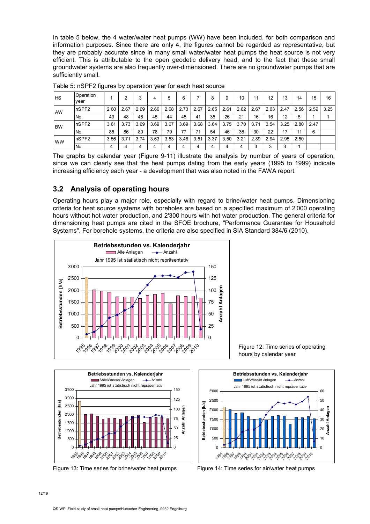In table 5 below, the 4 water/water heat pumps (WW) have been included, for both comparison and information purposes. Since there are only 4, the figures cannot be regarded as representative, but they are probably accurate since in many small water/water heat pumps the heat source is not very efficient. This is attributable to the open geodetic delivery head, and to the fact that these small groundwater systems are also frequently over-dimensioned. There are no groundwater pumps that are sufficiently small.

| <b>HS</b>  | Operation<br>vear |      | ົ    |      | 4    | 5    | 6    |      | 8    | 9    | 10   | 11   | 12   | 13   | 14   | 15   | 16   |
|------------|-------------------|------|------|------|------|------|------|------|------|------|------|------|------|------|------|------|------|
| <b>AW</b>  | nSPF2             | 2.60 | 2.67 | 2.69 | 2.66 | 2.68 | 2.73 | 2.67 | 2.65 | 2.61 | 2.62 | 2.67 | 2.63 | 2.47 | 2.56 | 2.59 | 3.25 |
|            | INo.              | 49   | 48   | 46   | 45   | 44   | 45   | 41   | 35   | 26   | 21   | 16   | 16   | 12   |      |      |      |
| <b>IBW</b> | nSPF2             | 3.61 | 3.73 | 3.69 | 3.69 | 3.67 | 3.69 | 3.68 | 3.64 | 3.75 | 3.70 | 3.71 | 3.54 | 3.25 | 2.80 | 2.47 |      |
|            | No.               | 85   | 86   | 80   | 78   | 79   | 77   | 71   | 54   | 46   | 36   | 30   | 22   | 17   |      | 6    |      |
| <b>WW</b>  | nSPF2             | 3.56 | 3.71 | 3.74 | 3.63 | 3.53 | 3.48 | 3.51 | 3.37 | 3.50 | 3.21 | 2.89 | 2.94 | 2.95 | 2.50 |      |      |
|            | No.               |      |      |      |      |      |      |      |      |      |      |      |      |      |      |      |      |

Table 5: nSPF2 figures by operation year for each heat source

The graphs by calendar year (Figure 9-11) illustrate the analysis by number of years of operation, since we can clearly see that the heat pumps dating from the early years (1995 to 1999) indicate increasing efficiency each year - a development that was also noted in the FAWA report.

### **3.2 Analysis of operating hours**

Operating hours play a major role, especially with regard to brine/water heat pumps. Dimensioning criteria for heat source systems with boreholes are based on a specified maximum of 2'000 operating hours without hot water production, and 2'300 hours with hot water production. The general criteria for dimensioning heat pumps are cited in the SFOE brochure, "Performance Guarantee for Household Systems". For borehole systems, the criteria are also specified in SIA Standard 384/6 (2010).





Figure 13: Time series for brine/water heat pumps Figure 14: Time series for air/water heat pumps

Figure 12: Time series of operating hours by calendar year

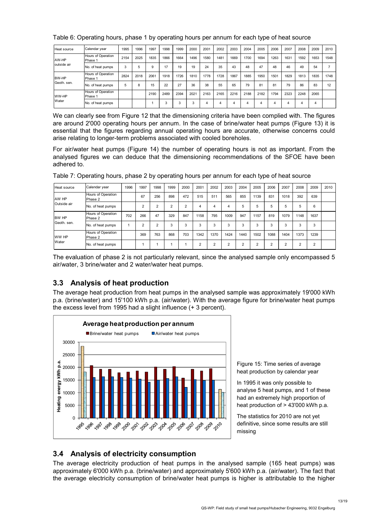| Heat source | Calendar year                 | 1995 | 1996 | 1997 | 1998 | 1999 | 2000 | 2001 | 2002 | 2003 | 2004 | 2005 | 2006 | 2007 | 2008 | 2009 | 2010 |
|-------------|-------------------------------|------|------|------|------|------|------|------|------|------|------|------|------|------|------|------|------|
| AW-HP       | Hours of Operation<br>Phase 1 | 2154 | 2025 | 1835 | 1866 | 1664 | 1496 | 1580 | 1481 | 1669 | 1700 | 1694 | 1263 | 1631 | 1592 | 1653 | 1548 |
| outside air | No. of heat pumps             | 3    | 5    | 9    | 17   | 19   | 19   | 24   | 35   | 43   | 48   | 47   | 48   | 46   | 49   | 54   |      |
| BW-HP       | Hours of Operation<br>Phase 1 | 2824 | 2018 | 2061 | 1918 | 1726 | 1810 | 1778 | 1728 | 1867 | 1885 | 1950 | 1501 | 1829 | 1813 | 1835 | 1748 |
| Geoth, sen. | No. of heat pumps             | 5    | 8    | 15   | 22   | 27   | 36   | 38   | 55   | 65   | 79   | 81   | 81   | 79   | 86   | 83   | 12   |
| WW-HP       | Hours of Operation<br>Phase 1 |      |      | 2190 | 2489 | 2394 | 2021 | 2163 | 2165 | 2216 | 2188 | 2182 | 1794 | 2323 | 2248 | 2065 |      |
| Water       | No. of heat pumps             |      |      |      |      | 3    | 3    | 4    | 4    |      | 4    | 4    | 4    | 4    | 4    | 4    |      |

#### Table 6: Operating hours, phase 1 by operating hours per annum for each type of heat source

We can clearly see from Figure 12 that the dimensioning criteria have been complied with. The figures are around 2'000 operating hours per annum. In the case of brine/water heat pumps (Figure 13) it is essential that the figures regarding annual operating hours are accurate, otherwise concerns could arise relating to longer-term problems associated with cooled boreholes.

For air/water heat pumps (Figure 14) the number of operating hours is not as important. From the analysed figures we can deduce that the dimensioning recommendations of the SFOE have been adhered to.

| Heat source | Calendar year                 | 1996 | 1997           | 1998 | 1999 | 2000 | 2001   | 2002           | 2003       | 2004       | 2005     | 2006           | 2007           | 2008 | 2009   | 2010 |
|-------------|-------------------------------|------|----------------|------|------|------|--------|----------------|------------|------------|----------|----------------|----------------|------|--------|------|
| AW HP       | Hours of Operation<br>Phase 2 |      | 67             | 256  | 898  | 472  | 515    | 511            | 565        | 855        | 1139     | 831            | 1018           | 392  | 639    |      |
| Outside air | No. of heat pumps             |      | $\overline{2}$ | C    | າ    | c    | 4      | 4              | 4          | 5          | 5        | 5              | 5              | 5    | 6      |      |
| BW HP       | Hours of Operation<br>Phase 2 | 702  | 266            | 47   | 329  | 847  | 1158   | 795            | 1009       | 947        | 1157     | 819            | 1079           | 1148 | 1637   |      |
| Geoth, sen. | No. of heat pumps             |      | $\overline{2}$ | 2    | 3    | 3    | 3      | 3              | 3          | 3          | 3        | 3              | 3              | 3    | 3      |      |
| WW HP       | Hours of Operation<br>Phase 2 |      | 369            | 763  | 868  | 703  | 1342   | 1370           | 1424       | 1440       | 1502     | 1088           | 1404           | 1373 | 1239   |      |
| Water       | No. of heat pumps             |      |                |      |      |      | $\sim$ | $\overline{2}$ | $\sqrt{2}$ | $\sqrt{2}$ | $\Omega$ | $\mathfrak{p}$ | $\overline{2}$ | ົ    | $\sim$ |      |

Table 7: Operating hours, phase 2 by operating hours per annum for each type of heat source

The evaluation of phase 2 is not particularly relevant, since the analysed sample only encompassed 5 air/water, 3 brine/water and 2 water/water heat pumps.

### **3.3 Analysis of heat production**

The average heat production from heat pumps in the analysed sample was approximately 19'000 kWh p.a. (brine/water) and 15'100 kWh p.a. (air/water). With the average figure for brine/water heat pumps the excess level from 1995 had a slight influence (+ 3 percent).



Figure 15: Time series of average heat production by calendar year

In 1995 it was only possible to analyse 5 heat pumps, and 1 of these had an extremely high proportion of heat production of > 43'000 kWh p.a.

The statistics for 2010 are not yet definitive, since some results are still missing

### **3.4 Analysis of electricity consumption**

The average electricity production of heat pumps in the analysed sample (165 heat pumps) was approximately 6'000 kWh p.a. (brine/water) and approximately 5'600 kWh p.a. (air/water). The fact that the average electricity consumption of brine/water heat pumps is higher is attributable to the higher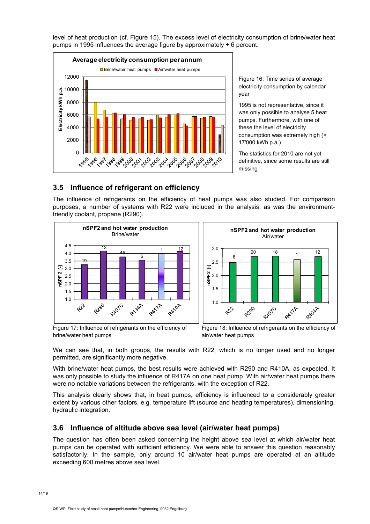

level of heat production (cf. Figure 15). The excess level of electricity consumption of brine/water heat pumps in 1995 influences the average figure by approximately + 6 percent.

> Figure 16: Time series of average electricity consumption by calendar year

> 1995 is not representative, since it was only possible to analyse 5 heat pumps. Furthermore, with one of these the level of electricity consumption was extremely high (> 17'000 kWh p.a.)

The statistics for 2010 are not yet definitive, since some results are still missing

### **3.5 Influence of refrigerant on efficiency**

The influence of refrigerants on the efficiency of heat pumps was also studied. For comparison purposes, a number of systems with R22 were included in the analysis, as was the environmentfriendly coolant, propane (R290).



Figure 17: Influence of refrigerants on the efficiency of brine/water heat pumps

We can see that, in both groups, the results with R22, which is no longer used and no longer permitted, are significantly more negative.

With brine/water heat pumps, the best results were achieved with R290 and R410A, as expected. It was only possible to study the influence of R417A on one heat pump. With air/water heat pumps there were no notable variations between the refrigerants, with the exception of R22.

This analysis clearly shows that, in heat pumps, efficiency is influenced to a considerably greater extent by various other factors, e.g. temperature lift (source and heating temperatures), dimensioning, hydraulic integration.

### **3.6 Influence of altitude above sea level (air/water heat pumps)**

The question has often been asked concerning the height above sea level at which air/water heat pumps can be operated with sufficient efficiency. We were able to answer this question reasonably satisfactorily. In the sample, only around 10 air/water heat pumps are operated at an altitude exceeding 600 metres above sea level.

Figure 18: Influence of refrigerants on the efficiency of air/water heat pumps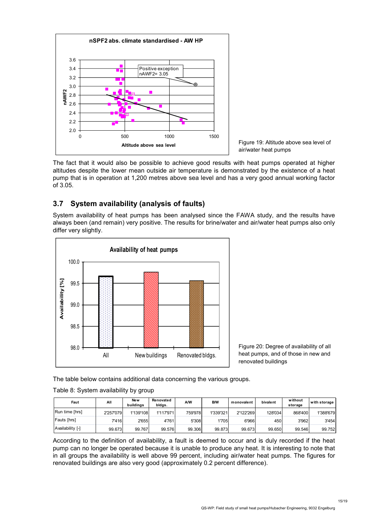

Figure 19: Altitude above sea level of air/water heat pumps

The fact that it would also be possible to achieve good results with heat pumps operated at higher altitudes despite the lower mean outside air temperature is demonstrated by the existence of a heat pump that is in operation at 1,200 metres above sea level and has a very good annual working factor of 3.05.

### **3.7 System availability (analysis of faults)**

System availability of heat pumps has been analysed since the FAWA study, and the results have always been (and remain) very positive. The results for brine/water and air/water heat pumps also only differ very slightly.



Figure 20: Degree of availability of all heat pumps, and of those in new and renovated buildings

The table below contains additional data concerning the various groups.

#### Table 8: System availability by group

| Faut             | All       | Ne w<br>buildings | Renovated<br>bidgs. | A/W      | B/W       | monovalent | bivalent | without<br>storage | with storage |
|------------------|-----------|-------------------|---------------------|----------|-----------|------------|----------|--------------------|--------------|
| Run time [hrs]   | 2'257'079 | 1'139'108         | 1'117'971           | 759'9781 | 1'339'321 | 2'122'269  | 128'034  | 868'400            | 1'388'679    |
| Fauts [hrs]      | 7'416     | 2'655             | 4'761               | 5'308    | 1'705     | 6'966      | 450      | 3'962              | 3'454        |
| Availability [-] | 99.673    | 99.767            | 99.576              | 99.306   | 99.873    | 99.673     | 99.650   | 99.546             | 99.752       |

According to the definition of availability, a fault is deemed to occur and is duly recorded if the heat pump can no longer be operated because it is unable to produce any heat. It is interesting to note that in all groups the availability is well above 99 percent, including air/water heat pumps. The figures for renovated buildings are also very good (approximately 0.2 percent difference).

15/19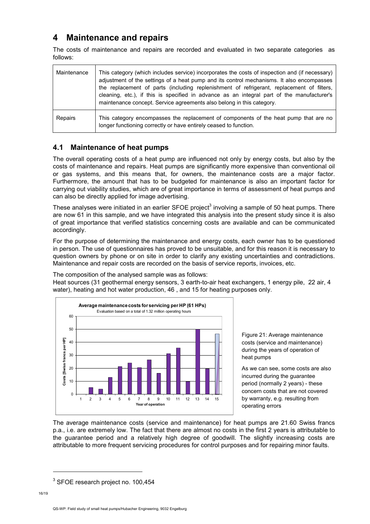## **4 Maintenance and repairs**

The costs of maintenance and repairs are recorded and evaluated in two separate categories as follows:

| Maintenance | This category (which includes service) incorporates the costs of inspection and (if necessary)<br>adjustment of the settings of a heat pump and its control mechanisms. It also encompasses<br>the replacement of parts (including replenishment of refrigerant, replacement of filters,<br>cleaning, etc.), if this is specified in advance as an integral part of the manufacturer's<br>maintenance concept. Service agreements also belong in this category. |
|-------------|-----------------------------------------------------------------------------------------------------------------------------------------------------------------------------------------------------------------------------------------------------------------------------------------------------------------------------------------------------------------------------------------------------------------------------------------------------------------|
| Repairs     | This category encompasses the replacement of components of the heat pump that are no<br>longer functioning correctly or have entirely ceased to function.                                                                                                                                                                                                                                                                                                       |

#### **4.1 Maintenance of heat pumps**

The overall operating costs of a heat pump are influenced not only by energy costs, but also by the costs of maintenance and repairs. Heat pumps are significantly more expensive than conventional oil or gas systems, and this means that, for owners, the maintenance costs are a major factor. Furthermore, the amount that has to be budgeted for maintenance is also an important factor for carrying out viability studies, which are of great importance in terms of assessment of heat pumps and can also be directly applied for image advertising.

These analyses were initiated in an earlier SFOE project<sup>3</sup> involving a sample of 50 heat pumps. There are now 61 in this sample, and we have integrated this analysis into the present study since it is also of great importance that verified statistics concerning costs are available and can be communicated accordingly.

For the purpose of determining the maintenance and energy costs, each owner has to be questioned in person. The use of questionnaires has proved to be unsuitable, and for this reason it is necessary to question owners by phone or on site in order to clarify any existing uncertainties and contradictions. Maintenance and repair costs are recorded on the basis of service reports, invoices, etc.

The composition of the analysed sample was as follows:

Heat sources (31 geothermal energy sensors, 3 earth-to-air heat exchangers, 1 energy pile, 22 air, 4 water), heating and hot water production, 46 , and 15 for heating purposes only.



Figure 21: Average maintenance costs (service and maintenance) during the years of operation of heat pumps

As we can see, some costs are also incurred during the guarantee period (normally 2 years) - these concern costs that are not covered by warranty, e.g. resulting from operating errors

The average maintenance costs (service and maintenance) for heat pumps are 21.60 Swiss francs p.a., i.e. are extremely low. The fact that there are almost no costs in the first 2 years is attributable to the guarantee period and a relatively high degree of goodwill. The slightly increasing costs are attributable to more frequent servicing procedures for control purposes and for repairing minor faults.

-

<sup>&</sup>lt;sup>3</sup> SFOE research project no. 100,454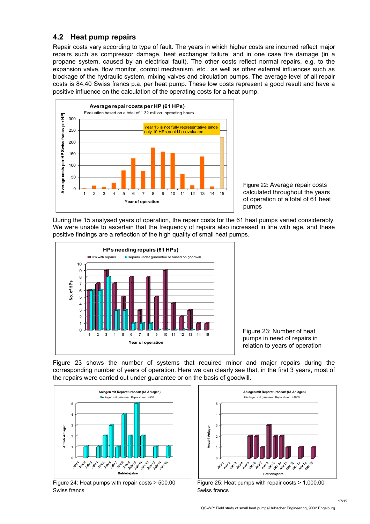### **4.2 Heat pump repairs**

Repair costs vary according to type of fault. The years in which higher costs are incurred reflect major repairs such as compressor damage, heat exchanger failure, and in one case fire damage (in a propane system, caused by an electrical fault). The other costs reflect normal repairs, e.g. to the expansion valve, flow monitor, control mechanism, etc., as well as other external influences such as blockage of the hydraulic system, mixing valves and circulation pumps. The average level of all repair costs is 84.40 Swiss francs p.a. per heat pump. These low costs represent a good result and have a positive influence on the calculation of the operating costs for a heat pump.



Figure 22: Average repair costs calculated throughout the years of operation of a total of 61 heat pumps

During the 15 analysed years of operation, the repair costs for the 61 heat pumps varied considerably. We were unable to ascertain that the frequency of repairs also increased in line with age, and these positive findings are a reflection of the high quality of small heat pumps.



Figure 23: Number of heat pumps in need of repairs in relation to years of operation

Figure 23 shows the number of systems that required minor and major repairs during the corresponding number of years of operation. Here we can clearly see that, in the first 3 years, most of the repairs were carried out under guarantee or on the basis of goodwill.



Figure 24: Heat pumps with repair costs > 500.00 Swiss francs



Figure 25: Heat pumps with repair costs > 1,000.00 Swiss francs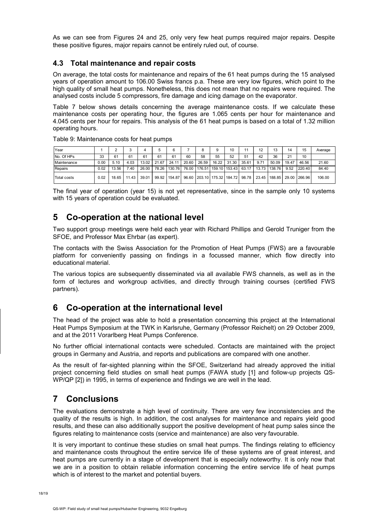As we can see from Figures 24 and 25, only very few heat pumps required major repairs. Despite these positive figures, major repairs cannot be entirely ruled out, of course.

#### **4.3 Total maintenance and repair costs**

On average, the total costs for maintenance and repairs of the 61 heat pumps during the 15 analysed years of operation amount to 106.00 Swiss francs p.a. These are very low figures, which point to the high quality of small heat pumps. Nonetheless, this does not mean that no repairs were required. The analysed costs include 5 compressors, fire damage and icing damage on the evaporator.

Table 7 below shows details concerning the average maintenance costs. If we calculate these maintenance costs per operating hour, the figures are 1.065 cents per hour for maintenance and 4.045 cents per hour for repairs. This analysis of the 61 heat pumps is based on a total of 1.32 million operating hours.

| Year               |      |       |       | 4     |       | 6      |       |       | 9     | 10                                       |       | 12    | 13                     | 14   | 15     | Average |
|--------------------|------|-------|-------|-------|-------|--------|-------|-------|-------|------------------------------------------|-------|-------|------------------------|------|--------|---------|
| No. Of HPs         | 33   | 61    | 61    | 61    | 61    | 61     | 60    | 58    | 55    | 52                                       | 51    | 42    | 36                     | 21   | 10     |         |
| Maintenance        | 0.00 | 5.10  | 4.03  | 13.02 | 21.67 | 24.11  | 20.60 | 26.59 | 16.22 | 31.30                                    | 35.61 | 9.71  | 50.09 19.47            |      | 46.56  | 21.60   |
| Repairs            | 0.02 | 13.56 | 7.40  | 26.00 | 78.26 | 130.76 |       |       |       | 76.00   176.51   159.10   153.43   63.17 |       | 13.73 | 138.76                 | 9.52 | 220.40 | 84.40   |
| <b>Total costs</b> | 0.02 | 18.65 | 11.43 | 39.01 | 99.92 | 154.87 |       |       |       | 96.60 203.10 175.32 184.72 98.78         |       |       | 23.45   188.85   29.00 |      | 266.96 | 106.00  |

Table 9: Maintenance costs for heat pumps

The final year of operation (year 15) is not yet representative, since in the sample only 10 systems with 15 years of operation could be evaluated.

## **5 Co-operation at the national level**

Two support group meetings were held each year with Richard Phillips and Gerold Truniger from the SFOE, and Professor Max Ehrbar (as expert).

The contacts with the Swiss Association for the Promotion of Heat Pumps (FWS) are a favourable platform for conveniently passing on findings in a focussed manner, which flow directly into educational material.

The various topics are subsequently disseminated via all available FWS channels, as well as in the form of lectures and workgroup activities, and directly through training courses (certified FWS partners).

## **6 Co-operation at the international level**

The head of the project was able to hold a presentation concerning this project at the International Heat Pumps Symposium at the TWK in Karlsruhe, Germany (Professor Reichelt) on 29 October 2009, and at the 2011 Vorarlberg Heat Pumps Conference.

No further official international contacts were scheduled. Contacts are maintained with the project groups in Germany and Austria, and reports and publications are compared with one another.

As the result of far-sighted planning within the SFOE, Switzerland had already approved the initial project concerning field studies on small heat pumps (FAWA study [1] and follow-up projects QS-WP/QP [2]) in 1995, in terms of experience and findings we are well in the lead.

## **7 Conclusions**

The evaluations demonstrate a high level of continuity. There are very few inconsistencies and the quality of the results is high. In addition, the cost analyses for maintenance and repairs yield good results, and these can also additionally support the positive development of heat pump sales since the figures relating to maintenance costs (service and maintenance) are also very favourable.

It is very important to continue these studies on small heat pumps. The findings relating to efficiency and maintenance costs throughout the entire service life of these systems are of great interest, and heat pumps are currently in a stage of development that is especially noteworthy. It is only now that we are in a position to obtain reliable information concerning the entire service life of heat pumps which is of interest to the market and potential buyers.